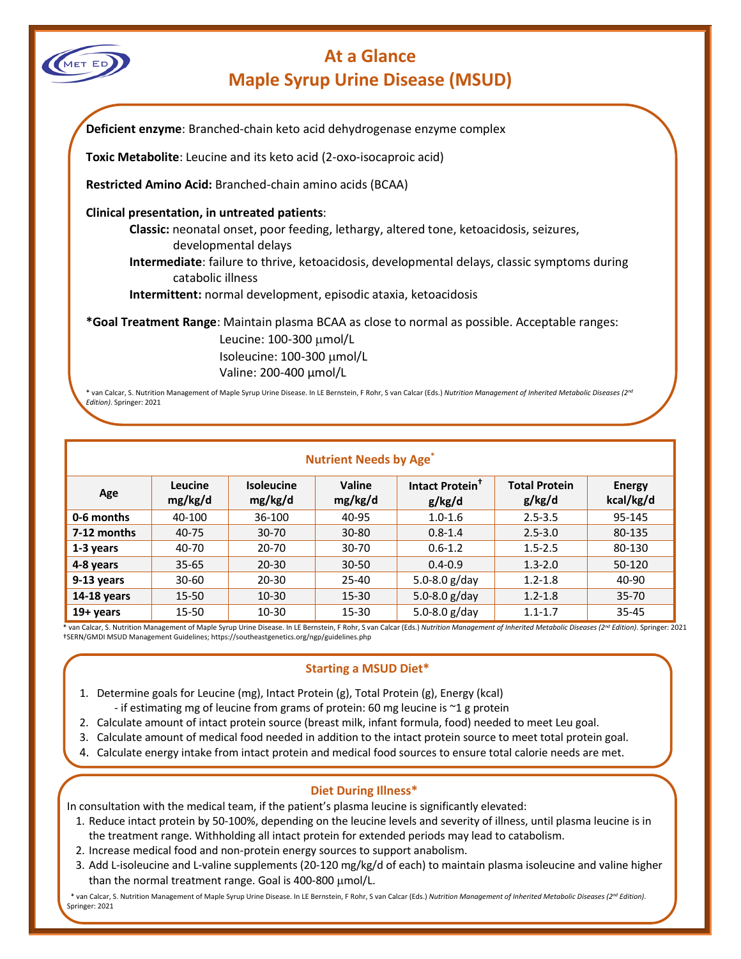

# **At a Glance Maple Syrup Urine Disease (MSUD)**

|                          | Toxic Metabolite: Leucine and its keto acid (2-oxo-isocaproic acid)                                                                                                                    |
|--------------------------|----------------------------------------------------------------------------------------------------------------------------------------------------------------------------------------|
|                          | Restricted Amino Acid: Branched-chain amino acids (BCAA)                                                                                                                               |
|                          | Clinical presentation, in untreated patients:                                                                                                                                          |
|                          | Classic: neonatal onset, poor feeding, lethargy, altered tone, ketoacidosis, seizures,<br>developmental delays                                                                         |
|                          | <b>Intermediate:</b> failure to thrive, ketoacidosis, developmental delays, classic symptoms during<br>catabolic illness                                                               |
|                          | Intermittent: normal development, episodic ataxia, ketoacidosis                                                                                                                        |
|                          | *Goal Treatment Range: Maintain plasma BCAA as close to normal as possible. Acceptable ranges:                                                                                         |
|                          | Leucine: 100-300 µmol/L                                                                                                                                                                |
|                          | Isoleucine: 100-300 µmol/L                                                                                                                                                             |
|                          | Valine: 200-400 µmol/L                                                                                                                                                                 |
| Edition). Springer: 2021 | * van Calcar, S. Nutrition Management of Maple Syrup Urine Disease. In LE Bernstein, F Rohr, S van Calcar (Eds.) Nutrition Management of Inherited Metabolic Diseases (2 <sup>nd</sup> |

| Age         | <b>Leucine</b><br>mg/kg/d | <b>Isoleucine</b><br>mg/kg/d | Valine<br>mg/kg/d | Intact Protein <sup>+</sup><br>g/kg/d | <b>Total Protein</b><br>g/kg/d | <b>Energy</b><br>kcal/kg/d |
|-------------|---------------------------|------------------------------|-------------------|---------------------------------------|--------------------------------|----------------------------|
| 0-6 months  | 40-100                    | 36-100                       | 40-95             | $1.0 - 1.6$                           | $2.5 - 3.5$                    | 95-145                     |
| 7-12 months | 40-75                     | $30 - 70$                    | $30 - 80$         | $0.8 - 1.4$                           | $2.5 - 3.0$                    | 80-135                     |
| 1-3 years   | 40-70                     | 20-70                        | 30-70             | $0.6 - 1.2$                           | $1.5 - 2.5$                    | 80-130                     |
| 4-8 years   | $35 - 65$                 | $20 - 30$                    | $30 - 50$         | $0.4 - 0.9$                           | $1.3 - 2.0$                    | 50-120                     |
| 9-13 years  | $30 - 60$                 | $20 - 30$                    | $25 - 40$         | 5.0-8.0 $g$ /day                      | $1.2 - 1.8$                    | 40-90                      |
| 14-18 years | 15-50                     | $10 - 30$                    | $15 - 30$         | 5.0-8.0 $g$ /day                      | $1.2 - 1.8$                    | $35 - 70$                  |
| 19+ years   | 15-50                     | $10 - 30$                    | 15-30             | 5.0-8.0 $g$ /day                      | $1.1 - 1.7$                    | $35 - 45$                  |

 \* van Calcar, S. Nutrition Management of Maple Syrup Urine Disease. In LE Bernstein, F Rohr, S van Calcar (Eds.) *Nutrition Management of Inherited Metabolic Diseases (2nd Edition)*. Springer: 2021 †SERN/GMDI MSUD Management Guidelines; https://southeastgenetics.org/ngp/guidelines.php

## **Starting a MSUD Diet\***

- 1. Determine goals for Leucine (mg), Intact Protein (g), Total Protein (g), Energy (kcal)
	- if estimating mg of leucine from grams of protein: 60 mg leucine is ~1 g protein
- 2. Calculate amount of intact protein source (breast milk, infant formula, food) needed to meet Leu goal.
- 3. Calculate amount of medical food needed in addition to the intact protein source to meet total protein goal.
- 4. Calculate energy intake from intact protein and medical food sources to ensure total calorie needs are met.

## **Diet During Illness\***

In consultation with the medical team, if the patient's plasma leucine is significantly elevated:

- 1. Reduce intact protein by 50-100%, depending on the leucine levels and severity of illness, until plasma leucine is in the treatment range. Withholding all intact protein for extended periods may lead to catabolism.
- 2. Increase medical food and non-protein energy sources to support anabolism.
- 3. Add L-isoleucine and L-valine supplements (20-120 mg/kg/d of each) to maintain plasma isoleucine and valine higher than the normal treatment range. Goal is 400-800 µmol/L.

 \* van Calcar, S. Nutrition Management of Maple Syrup Urine Disease. In LE Bernstein, F Rohr, S van Calcar (Eds.) *Nutrition Management of Inherited Metabolic Diseases (2nd Edition)*. Springer: 2021